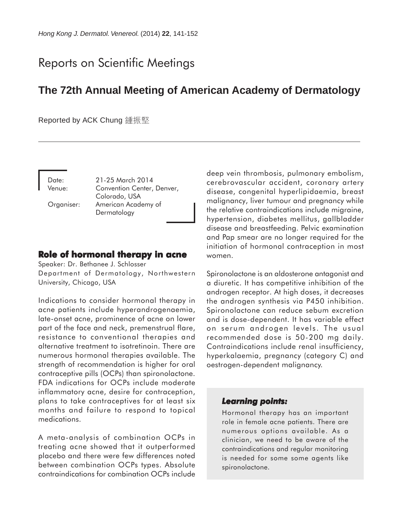# Reports on Scientific Meetings

## **The 72th Annual Meeting of American Academy of Dermatology**

Reported by ACK Chung 鍾振堅

Date: 21-25 March 2014 Venue: Convention Center, Denver, Colorado, USA Organiser: American Academy of Dermatology

#### **Role of hormonal therapy in acne**

Speaker: Dr. Bethanee J. Schlosser Department of Dermatology, Northwestern University, Chicago, USA

Indications to consider hormonal therapy in acne patients include hyperandrogenaemia, late-onset acne, prominence of acne on lower part of the face and neck, premenstrual flare, resistance to conventional therapies and alternative treatment to isotretinoin. There are numerous hormonal therapies available. The strength of recommendation is higher for oral contraceptive pills (OCPs) than spironolactone. FDA indications for OCPs include moderate inflammatory acne, desire for contraception, plans to take contraceptives for at least six months and failure to respond to topical medications.

A meta-analysis of combination OCPs in treating acne showed that it outperformed placebo and there were few differences noted between combination OCPs types. Absolute contraindications for combination OCPs include

deep vein thrombosis, pulmonary embolism, cerebrovascular accident, coronary artery disease, congenital hyperlipidaemia, breast malignancy, liver tumour and pregnancy while the relative contraindications include migraine, hypertension, diabetes mellitus, gallbladder disease and breastfeeding. Pelvic examination and Pap smear are no longer required for the initiation of hormonal contraception in most women.

Spironolactone is an aldosterone antagonist and a diuretic. It has competitive inhibition of the androgen receptor. At high doses, it decreases the androgen synthesis via P450 inhibition. Spironolactone can reduce sebum excretion and is dose-dependent. It has variable effect on serum androgen levels. The usual recommended dose is 50-200 mg daily. Contraindications include renal insufficiency, hyperkalaemia, pregnancy (category C) and oestrogen-dependent malignancy.

#### *Learning points: Learning points:*

Hormonal therapy has an important role in female acne patients. There are numerous options available. As a clinician, we need to be aware of the contraindications and regular monitoring is needed for some some agents like spironolactone.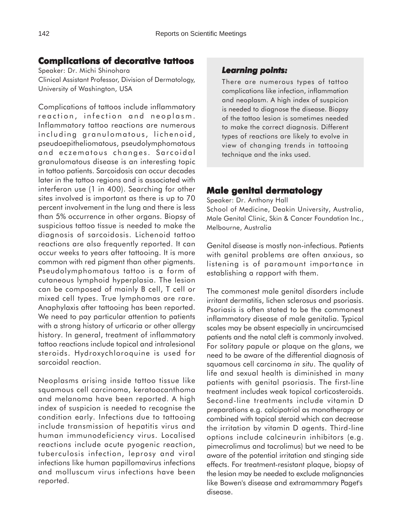### **Complications of decorative tattoos**

Speaker: Dr. Michi Shinohara Clinical Assistant Professor, Division of Dermatology, University of Washington, USA

Complications of tattoos include inflammatory reaction, infection and neoplasm. Inflammatory tattoo reactions are numerous including granulomatous, lichenoid, pseudoepitheliomatous, pseudolymphomatous and eczematous changes. Sarcoidal granulomatous disease is an interesting topic in tattoo patients. Sarcoidosis can occur decades later in the tattoo regions and is associated with interferon use (1 in 400). Searching for other sites involved is important as there is up to 70 percent involvement in the lung and there is less than 5% occurrence in other organs. Biopsy of suspicious tattoo tissue is needed to make the diagnosis of sarcoidosis. Lichenoid tattoo reactions are also frequently reported. It can occur weeks to years after tattooing. It is more common with red pigment than other pigments. Pseudolymphomatous tattoo is a form of cutaneous lymphoid hyperplasia. The lesion can be composed of mainly B cell, T cell or mixed cell types. True lymphomas are rare. Anaphylaxis after tattooing has been reported. We need to pay particular attention to patients with a strong history of urticaria or other allergy history. In general, treatment of inflammatory tattoo reactions include topical and intralesional steroids. Hydroxychloroquine is used for sarcoidal reaction.

Neoplasms arising inside tattoo tissue like squamous cell carcinoma, keratoacanthoma and melanoma have been reported. A high index of suspicion is needed to recognise the condition early. Infections due to tattooing include transmission of hepatitis virus and human immunodeficiency virus. Localised reactions include acute pyogenic reaction, tuberculosis infection, leprosy and viral infections like human papillomavirus infections and molluscum virus infections have been reported.

### *Learning points: Learning points:*

There are numerous types of tattoo complications like infection, inflammation and neoplasm. A high index of suspicion is needed to diagnose the disease. Biopsy of the tattoo lesion is sometimes needed to make the correct diagnosis. Different types of reactions are likely to evolve in view of changing trends in tattooing technique and the inks used.

### **Male genital dermatology**

Speaker: Dr. Anthony Hall School of Medicine, Deakin University, Australia, Male Genital Clinic, Skin & Cancer Foundation Inc., Melbourne, Australia

Genital disease is mostly non-infectious. Patients with genital problems are often anxious, so listening is of paramount importance in establishing a rapport with them.

The commonest male genital disorders include irritant dermatitis, lichen sclerosus and psoriasis. Psoriasis is often stated to be the commonest inflammatory disease of male genitalia. Typical scales may be absent especially in uncircumcised patients and the natal cleft is commonly involved. For solitary papule or plaque on the glans, we need to be aware of the differential diagnosis of squamous cell carcinoma *in situ*. The quality of life and sexual health is diminished in many patients with genital psoriasis. The first-line treatment includes weak topical corticosteroids. Second-line treatments include vitamin D preparations e.g. calcipotriol as monotherapy or combined with topical steroid which can decrease the irritation by vitamin D agents. Third-line options include calcineurin inhibitors (e.g. pimecrolimus and tacrolimus) but we need to be aware of the potential irritation and stinging side effects. For treatment-resistant plaque, biopsy of the lesion may be needed to exclude malignancies like Bowen's disease and extramammary Paget's disease.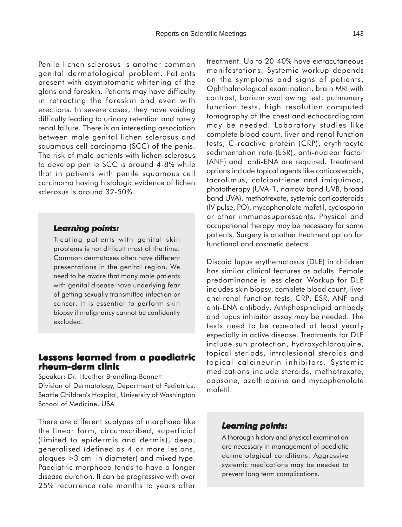Penile lichen sclerosus is another common genital dermatological problem. Patients present with asymptomatic whitening of the glans and foreskin. Patients may have difficulty in retracting the foreskin and even with erections. In severe cases, they have voiding difficulty leading to urinary retention and rarely renal failure. There is an interesting association between male genital lichen sclerosus and squamous cell carcinoma (SCC) of the penis. The risk of male patients with lichen sclerosus to develop penile SCC is around 4-8% while that in patients with penile squamous cell carcinoma having histologic evidence of lichen sclerosus is around 32-50%.

#### *Learning points: Learning*

Treating patients with genital skin problems is not difficult most of the time. Common dermatoses often have different presentations in the genital region. We need to be aware that many male patients with genital disease have underlying fear of getting sexually transmitted infection or cancer. It is essential to perform skin biopsy if malignancy cannot be confidently excluded.

### **Lessons learned from a paediatric rheum-derm clinic**

Speaker: Dr. Heather Brandling-Bennett Division of Dermatology, Department of Pediatrics, Seattle Children's Hospital, University of Washington School of Medicine, USA

There are different subtypes of morphoea like the linear form, circumscribed, superficial (limited to epidermis and dermis), deep, generalised (defined as 4 or more lesions, plaques >3 cm in diameter) and mixed type. Paediatric morphoea tends to have a longer disease duration. It can be progressive with over 25% recurrence rate months to years after treatment. Up to 20-40% have extracutaneous manifestations. Systemic workup depends on the symptoms and signs of patients. Ophthalmological examination, brain MRI with contrast, barium swallowing test, pulmonary function tests, high resolution computed tomography of the chest and echocardiogram may be needed. Laboratory studies like complete blood count, liver and renal function tests, C-reactive protein (CRP), erythrocyte sedimentation rate (ESR), anti-nuclear factor (ANF) and anti-ENA are required. Treatment options include topical agents like corticosteroids, tacrolimus, calcipotriene and imiquimod, phototherapy (UVA-1, narrow band UVB, broad band UVA), methotrexate, systemic corticosteroids (IV pulse, PO), mycophenolate mofetil, cyclosporin or other immunosuppressants. Physical and occupational therapy may be necessary for some patients. Surgery is another treatment option for functional and cosmetic defects.

Discoid lupus erythematosus (DLE) in children has similar clinical features as adults. Female predominance is less clear. Workup for DLE includes skin biopsy, complete blood count, liver and renal function tests, CRP, ESR, ANF and anti-ENA antibody. Antiphospholipid antibody and lupus inhibitor assay may be needed. The tests need to be repeated at least yearly especially in active disease. Treatments for DLE include sun protection, hydroxychloroquine, topical steriods, intralesional steroids and topical calcineurin inhibitors. Systemic medications include steroids, methotrexate, dapsone, azathioprine and mycophenolate mofetil.

#### *Learning points: Learning points:*

A thorough history and physical examination are necessary in management of paediatic dermatological conditions. Aggressive systemic medications may be needed to prevent long term complications.